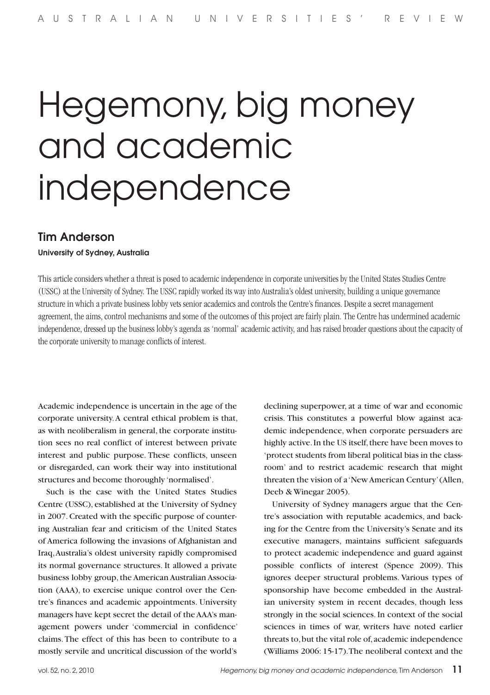# Hegemony, big money and academic independence

# Tim Anderson

#### University of Sydney, Australia

This article considers whether a threat is posed to academic independence in corporate universities by the United States Studies Centre (USSC) at the University of Sydney. The USSC rapidly worked its way into Australia's oldest university, building a unique governance structure in which a private business lobby vets senior academics and controls the Centre's finances. Despite a secret management agreement, the aims, control mechanisms and some of the outcomes of this project are fairly plain. The Centre has undermined academic independence, dressed up the business lobby's agenda as 'normal' academic activity, and has raised broader questions about the capacity of the corporate university to manage conflicts of interest.

Academic independence is uncertain in the age of the corporate university. A central ethical problem is that, as with neoliberalism in general, the corporate institution sees no real conflict of interest between private interest and public purpose. These conflicts, unseen or disregarded, can work their way into institutional structures and become thoroughly 'normalised'.

Such is the case with the United States Studies Centre (USSC), established at the University of Sydney in 2007. Created with the specific purpose of countering Australian fear and criticism of the United States of America following the invasions of Afghanistan and Iraq, Australia's oldest university rapidly compromised its normal governance structures. It allowed a private business lobby group, the American Australian Association (AAA), to exercise unique control over the Centre's finances and academic appointments. University managers have kept secret the detail of the AAA's management powers under 'commercial in confidence' claims. The effect of this has been to contribute to a mostly servile and uncritical discussion of the world's declining superpower, at a time of war and economic crisis. This constitutes a powerful blow against academic independence, when corporate persuaders are highly active. In the US itself, there have been moves to 'protect students from liberal political bias in the classroom' and to restrict academic research that might threaten the vision of a 'New American Century' (Allen, Deeb & Winegar 2005).

University of Sydney managers argue that the Centre's association with reputable academics, and backing for the Centre from the University's Senate and its executive managers, maintains sufficient safeguards to protect academic independence and guard against possible conflicts of interest (Spence 2009). This ignores deeper structural problems. Various types of sponsorship have become embedded in the Australian university system in recent decades, though less strongly in the social sciences. In context of the social sciences in times of war, writers have noted earlier threats to, but the vital role of, academic independence (Williams 2006: 15-17). The neoliberal context and the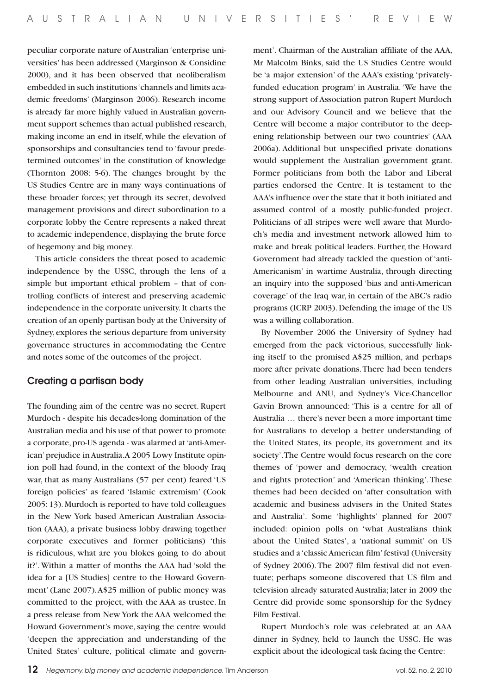peculiar corporate nature of Australian 'enterprise universities' has been addressed (Marginson & Considine 2000), and it has been observed that neoliberalism embedded in such institutions 'channels and limits academic freedoms' (Marginson 2006). Research income is already far more highly valued in Australian government support schemes than actual published research, making income an end in itself, while the elevation of sponsorships and consultancies tend to 'favour predetermined outcomes' in the constitution of knowledge (Thornton 2008: 5-6). The changes brought by the US Studies Centre are in many ways continuations of these broader forces; yet through its secret, devolved management provisions and direct subordination to a corporate lobby the Centre represents a naked threat to academic independence, displaying the brute force of hegemony and big money.

This article considers the threat posed to academic independence by the USSC, through the lens of a simple but important ethical problem – that of controlling conflicts of interest and preserving academic independence in the corporate university. It charts the creation of an openly partisan body at the University of Sydney, explores the serious departure from university governance structures in accommodating the Centre and notes some of the outcomes of the project.

## Creating a partisan body

The founding aim of the centre was no secret. Rupert Murdoch - despite his decades-long domination of the Australian media and his use of that power to promote a corporate, pro-US agenda - was alarmed at 'anti-American' prejudice in Australia. A 2005 Lowy Institute opinion poll had found, in the context of the bloody Iraq war, that as many Australians (57 per cent) feared 'US foreign policies' as feared 'Islamic extremism' (Cook 2005: 13). Murdoch is reported to have told colleagues in the New York based American Australian Association (AAA), a private business lobby drawing together corporate executives and former politicians) 'this is ridiculous, what are you blokes going to do about it?'. Within a matter of months the AAA had 'sold the idea for a [US Studies] centre to the Howard Government' (Lane 2007). A\$25 million of public money was committed to the project, with the AAA as trustee. In a press release from New York the AAA welcomed the Howard Government's move, saying the centre would 'deepen the appreciation and understanding of the United States' culture, political climate and govern-

ment'. Chairman of the Australian affiliate of the AAA, Mr Malcolm Binks, said the US Studies Centre would be 'a major extension' of the AAA's existing 'privatelyfunded education program' in Australia. 'We have the strong support of Association patron Rupert Murdoch and our Advisory Council and we believe that the Centre will become a major contributor to the deepening relationship between our two countries' (AAA 2006a). Additional but unspecified private donations would supplement the Australian government grant. Former politicians from both the Labor and Liberal parties endorsed the Centre. It is testament to the AAA's influence over the state that it both initiated and assumed control of a mostly public-funded project. Politicians of all stripes were well aware that Murdoch's media and investment network allowed him to make and break political leaders. Further, the Howard Government had already tackled the question of 'anti-Americanism' in wartime Australia, through directing an inquiry into the supposed 'bias and anti-American coverage' of the Iraq war, in certain of the ABC's radio programs (ICRP 2003). Defending the image of the US was a willing collaboration.

By November 2006 the University of Sydney had emerged from the pack victorious, successfully linking itself to the promised A\$25 million, and perhaps more after private donations. There had been tenders from other leading Australian universities, including Melbourne and ANU, and Sydney's Vice-Chancellor Gavin Brown announced: 'This is a centre for all of Australia … there's never been a more important time for Australians to develop a better understanding of the United States, its people, its government and its society'. The Centre would focus research on the core themes of 'power and democracy, 'wealth creation and rights protection' and 'American thinking'. These themes had been decided on 'after consultation with academic and business advisers in the United States and Australia'. Some 'highlights' planned for 2007 included: opinion polls on 'what Australians think about the United States', a 'national summit' on US studies and a 'classic American film' festival (University of Sydney 2006). The 2007 film festival did not eventuate; perhaps someone discovered that US film and television already saturated Australia; later in 2009 the Centre did provide some sponsorship for the Sydney Film Festival.

Rupert Murdoch's role was celebrated at an AAA dinner in Sydney, held to launch the USSC. He was explicit about the ideological task facing the Centre: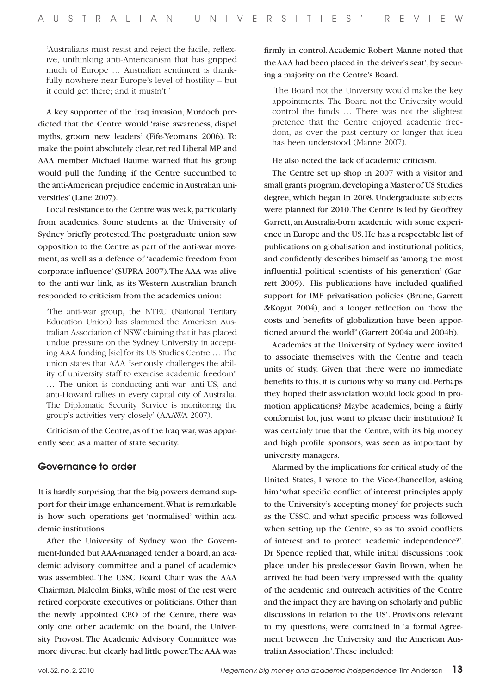'Australians must resist and reject the facile, reflexive, unthinking anti-Americanism that has gripped much of Europe … Australian sentiment is thankfully nowhere near Europe's level of hostility – but it could get there; and it mustn't.'

A key supporter of the Iraq invasion, Murdoch predicted that the Centre would 'raise awareness, dispel myths, groom new leaders' (Fife-Yeomans 2006). To make the point absolutely clear, retired Liberal MP and AAA member Michael Baume warned that his group would pull the funding 'if the Centre succumbed to the anti-American prejudice endemic in Australian universities' (Lane 2007).

Local resistance to the Centre was weak, particularly from academics. Some students at the University of Sydney briefly protested. The postgraduate union saw opposition to the Centre as part of the anti-war movement, as well as a defence of 'academic freedom from corporate influence' (SUPRA 2007). The AAA was alive to the anti-war link, as its Western Australian branch responded to criticism from the academics union:

'The anti-war group, the NTEU (National Tertiary Education Union) has slammed the American Australian Association of NSW claiming that it has placed undue pressure on the Sydney University in accepting AAA funding [sic] for its US Studies Centre … The union states that AAA "seriously challenges the ability of university staff to exercise academic freedom" … The union is conducting anti-war, anti-US, and anti-Howard rallies in every capital city of Australia. The Diplomatic Security Service is monitoring the group's activities very closely' (AAAWA 2007).

Criticism of the Centre, as of the Iraq war, was apparently seen as a matter of state security.

#### Governance to order

It is hardly surprising that the big powers demand support for their image enhancement. What is remarkable is how such operations get 'normalised' within academic institutions.

After the University of Sydney won the Government-funded but AAA-managed tender a board, an academic advisory committee and a panel of academics was assembled. The USSC Board Chair was the AAA Chairman, Malcolm Binks, while most of the rest were retired corporate executives or politicians. Other than the newly appointed CEO of the Centre, there was only one other academic on the board, the University Provost. The Academic Advisory Committee was more diverse, but clearly had little power. The AAA was

firmly in control. Academic Robert Manne noted that the AAA had been placed in 'the driver's seat', by securing a majority on the Centre's Board.

'The Board not the University would make the key appointments. The Board not the University would control the funds … There was not the slightest pretence that the Centre enjoyed academic freedom, as over the past century or longer that idea has been understood (Manne 2007).

He also noted the lack of academic criticism.

The Centre set up shop in 2007 with a visitor and small grants program, developing a Master of US Studies degree, which began in 2008. Undergraduate subjects were planned for 2010. The Centre is led by Geoffrey Garrett, an Australia-born academic with some experience in Europe and the US. He has a respectable list of publications on globalisation and institutional politics, and confidently describes himself as 'among the most influential political scientists of his generation' (Garrett 2009). His publications have included qualified support for IMF privatisation policies (Brune, Garrett &Kogut 2004), and a longer reflection on "how the costs and benefits of globalization have been apportioned around the world" (Garrett 2004a and 2004b).

Academics at the University of Sydney were invited to associate themselves with the Centre and teach units of study. Given that there were no immediate benefits to this, it is curious why so many did. Perhaps they hoped their association would look good in promotion applications? Maybe academics, being a fairly conformist lot, just want to please their institution? It was certainly true that the Centre, with its big money and high profile sponsors, was seen as important by university managers.

Alarmed by the implications for critical study of the United States, I wrote to the Vice-Chancellor, asking him 'what specific conflict of interest principles apply to the University's accepting money' for projects such as the USSC, and what specific process was followed when setting up the Centre, so as 'to avoid conflicts of interest and to protect academic independence?'. Dr Spence replied that, while initial discussions took place under his predecessor Gavin Brown, when he arrived he had been 'very impressed with the quality of the academic and outreach activities of the Centre and the impact they are having on scholarly and public discussions in relation to the US'. Provisions relevant to my questions, were contained in 'a formal Agreement between the University and the American Australian Association'. These included: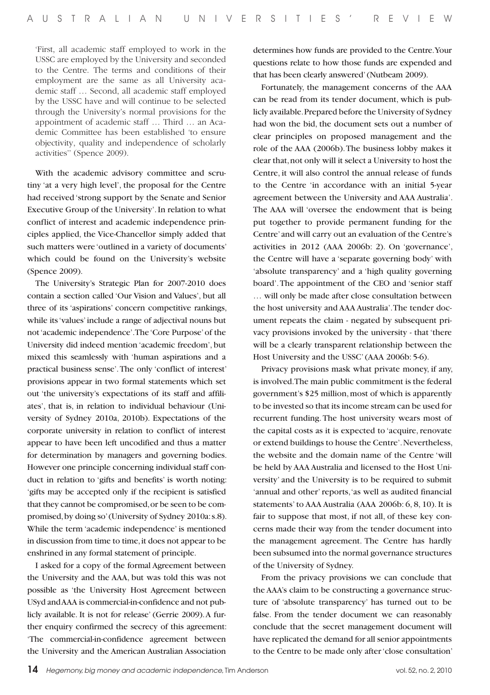'First, all academic staff employed to work in the USSC are employed by the University and seconded to the Centre. The terms and conditions of their employment are the same as all University academic staff … Second, all academic staff employed by the USSC have and will continue to be selected through the University's normal provisions for the appointment of academic staff … Third … an Academic Committee has been established 'to ensure objectivity, quality and independence of scholarly activities'' (Spence 2009).

With the academic advisory committee and scrutiny 'at a very high level', the proposal for the Centre had received 'strong support by the Senate and Senior Executive Group of the University'. In relation to what conflict of interest and academic independence principles applied, the Vice-Chancellor simply added that such matters were 'outlined in a variety of documents' which could be found on the University's website (Spence 2009).

The University's Strategic Plan for 2007-2010 does contain a section called 'Our Vision and Values', but all three of its 'aspirations' concern competitive rankings, while its 'values' include a range of adjectival nouns but not 'academic independence'. The 'Core Purpose' of the University did indeed mention 'academic freedom', but mixed this seamlessly with 'human aspirations and a practical business sense'. The only 'conflict of interest' provisions appear in two formal statements which set out 'the university's expectations of its staff and affiliates', that is, in relation to individual behaviour (University of Sydney 2010a, 2010b). Expectations of the corporate university in relation to conflict of interest appear to have been left uncodified and thus a matter for determination by managers and governing bodies. However one principle concerning individual staff conduct in relation to 'gifts and benefits' is worth noting: 'gifts may be accepted only if the recipient is satisfied that they cannot be compromised, or be seen to be compromised, by doing so' (University of Sydney 2010a: s.8). While the term 'academic independence' is mentioned in discussion from time to time, it does not appear to be enshrined in any formal statement of principle.

I asked for a copy of the formal Agreement between the University and the AAA, but was told this was not possible as 'the University Host Agreement between USyd and AAA is commercial-in-confidence and not publicly available. It is not for release' (Gerrie 2009). A further enquiry confirmed the secrecy of this agreement: 'The commercial-in-confidence agreement between the University and the American Australian Association determines how funds are provided to the Centre. Your questions relate to how those funds are expended and that has been clearly answered' (Nutbeam 2009).

Fortunately, the management concerns of the AAA can be read from its tender document, which is publicly available. Prepared before the University of Sydney had won the bid, the document sets out a number of clear principles on proposed management and the role of the AAA (2006b). The business lobby makes it clear that, not only will it select a University to host the Centre, it will also control the annual release of funds to the Centre 'in accordance with an initial 5-year agreement between the University and AAA Australia'. The AAA will 'oversee the endowment that is being put together to provide permanent funding for the Centre' and will carry out an evaluation of the Centre's activities in 2012 (AAA 2006b: 2). On 'governance', the Centre will have a 'separate governing body' with 'absolute transparency' and a 'high quality governing board'. The appointment of the CEO and 'senior staff … will only be made after close consultation between the host university and AAA Australia'. The tender document repeats the claim - negated by subsequent privacy provisions invoked by the university - that 'there will be a clearly transparent relationship between the Host University and the USSC' (AAA 2006b: 5-6).

Privacy provisions mask what private money, if any, is involved. The main public commitment is the federal government's \$25 million, most of which is apparently to be invested so that its income stream can be used for recurrent funding. The host university wears most of the capital costs as it is expected to 'acquire, renovate or extend buildings to house the Centre'. Nevertheless, the website and the domain name of the Centre 'will be held by AAA Australia and licensed to the Host University' and the University is to be required to submit 'annual and other' reports, 'as well as audited financial statements' to AAA Australia (AAA 2006b: 6, 8, 10). It is fair to suppose that most, if not all, of these key concerns made their way from the tender document into the management agreement. The Centre has hardly been subsumed into the normal governance structures of the University of Sydney.

From the privacy provisions we can conclude that the AAA's claim to be constructing a governance structure of 'absolute transparency' has turned out to be false. From the tender document we can reasonably conclude that the secret management document will have replicated the demand for all senior appointments to the Centre to be made only after 'close consultation'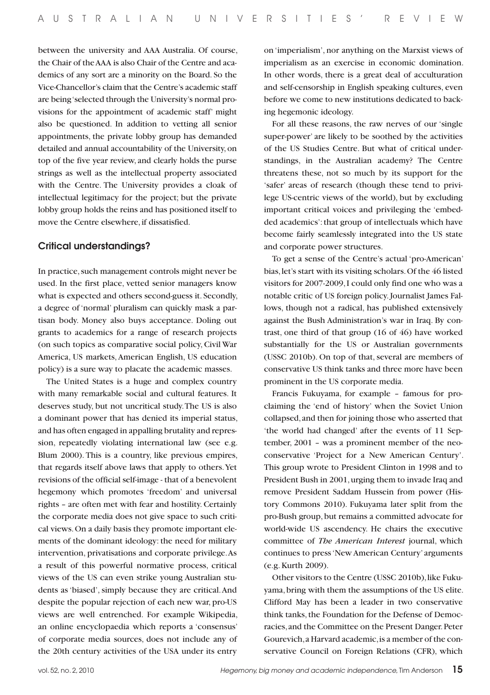between the university and AAA Australia. Of course, the Chair of the AAA is also Chair of the Centre and academics of any sort are a minority on the Board. So the Vice-Chancellor's claim that the Centre's academic staff are being 'selected through the University's normal provisions for the appointment of academic staff' might also be questioned. In addition to vetting all senior appointments, the private lobby group has demanded detailed and annual accountability of the University, on top of the five year review, and clearly holds the purse strings as well as the intellectual property associated with the Centre. The University provides a cloak of intellectual legitimacy for the project; but the private lobby group holds the reins and has positioned itself to move the Centre elsewhere, if dissatisfied.

## Critical understandings?

In practice, such management controls might never be used. In the first place, vetted senior managers know what is expected and others second-guess it. Secondly, a degree of 'normal' pluralism can quickly mask a partisan body. Money also buys acceptance. Doling out grants to academics for a range of research projects (on such topics as comparative social policy, Civil War America, US markets, American English, US education policy) is a sure way to placate the academic masses.

The United States is a huge and complex country with many remarkable social and cultural features. It deserves study, but not uncritical study. The US is also a dominant power that has denied its imperial status, and has often engaged in appalling brutality and repression, repeatedly violating international law (see e.g. Blum 2000). This is a country, like previous empires, that regards itself above laws that apply to others. Yet revisions of the official self-image - that of a benevolent hegemony which promotes 'freedom' and universal rights – are often met with fear and hostility. Certainly the corporate media does not give space to such critical views. On a daily basis they promote important elements of the dominant ideology: the need for military intervention, privatisations and corporate privilege. As a result of this powerful normative process, critical views of the US can even strike young Australian students as 'biased', simply because they are critical. And despite the popular rejection of each new war, pro-US views are well entrenched. For example Wikipedia, an online encyclopaedia which reports a 'consensus' of corporate media sources, does not include any of the 20th century activities of the USA under its entry on 'imperialism', nor anything on the Marxist views of imperialism as an exercise in economic domination. In other words, there is a great deal of acculturation and self-censorship in English speaking cultures, even before we come to new institutions dedicated to backing hegemonic ideology.

For all these reasons, the raw nerves of our 'single super-power' are likely to be soothed by the activities of the US Studies Centre. But what of critical understandings, in the Australian academy? The Centre threatens these, not so much by its support for the 'safer' areas of research (though these tend to privilege US-centric views of the world), but by excluding important critical voices and privileging the 'embedded academics': that group of intellectuals which have become fairly seamlessly integrated into the US state and corporate power structures.

To get a sense of the Centre's actual 'pro-American' bias, let's start with its visiting scholars. Of the 46 listed visitors for 2007-2009, I could only find one who was a notable critic of US foreign policy. Journalist James Fallows, though not a radical, has published extensively against the Bush Administration's war in Iraq. By contrast, one third of that group (16 of 46) have worked substantially for the US or Australian governments (USSC 2010b). On top of that, several are members of conservative US think tanks and three more have been prominent in the US corporate media.

Francis Fukuyama, for example – famous for proclaiming the 'end of history' when the Soviet Union collapsed, and then for joining those who asserted that 'the world had changed' after the events of 11 September, 2001 – was a prominent member of the neoconservative 'Project for a New American Century'. This group wrote to President Clinton in 1998 and to President Bush in 2001, urging them to invade Iraq and remove President Saddam Hussein from power (History Commons 2010). Fukuyama later split from the pro-Bush group, but remains a committed advocate for world-wide US ascendency. He chairs the executive committee of *The American Interest* journal, which continues to press 'New American Century' arguments (e.g. Kurth 2009).

Other visitors to the Centre (USSC 2010b), like Fukuyama, bring with them the assumptions of the US elite. Clifford May has been a leader in two conservative think tanks, the Foundation for the Defense of Democracies, and the Committee on the Present Danger. Peter Gourevich, a Harvard academic, is a member of the conservative Council on Foreign Relations (CFR), which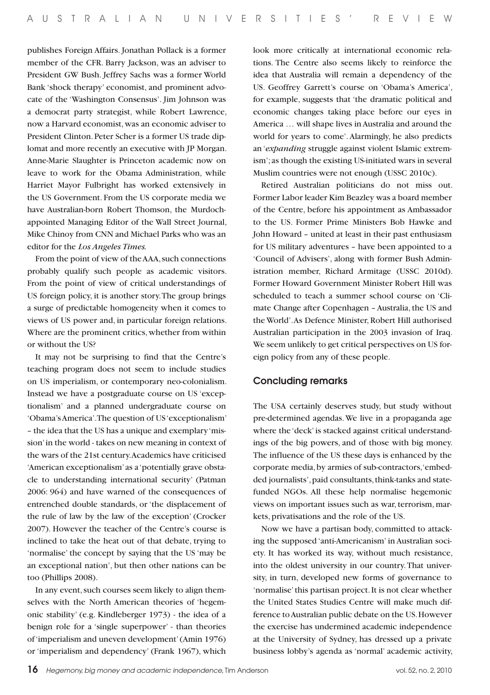publishes Foreign Affairs. Jonathan Pollack is a former member of the CFR. Barry Jackson, was an adviser to President GW Bush. Jeffrey Sachs was a former World Bank 'shock therapy' economist, and prominent advocate of the 'Washington Consensus'. Jim Johnson was a democrat party strategist, while Robert Lawrence, now a Harvard economist, was an economic adviser to President Clinton. Peter Scher is a former US trade diplomat and more recently an executive with JP Morgan. Anne-Marie Slaughter is Princeton academic now on leave to work for the Obama Administration, while Harriet Mayor Fulbright has worked extensively in the US Government. From the US corporate media we have Australian-born Robert Thomson, the Murdochappointed Managing Editor of the Wall Street Journal, Mike Chinoy from CNN and Michael Parks who was an editor for the *Los Angeles Times.*

From the point of view of the AAA, such connections probably qualify such people as academic visitors. From the point of view of critical understandings of US foreign policy, it is another story. The group brings a surge of predictable homogeneity when it comes to views of US power and, in particular foreign relations. Where are the prominent critics, whether from within or without the US?

It may not be surprising to find that the Centre's teaching program does not seem to include studies on US imperialism, or contemporary neo-colonialism. Instead we have a postgraduate course on US 'exceptionalism' and a planned undergraduate course on 'Obama's America'. The question of US 'exceptionalism' – the idea that the US has a unique and exemplary 'mission' in the world - takes on new meaning in context of the wars of the 21st century. Academics have criticised 'American exceptionalism' as a 'potentially grave obstacle to understanding international security' (Patman 2006: 964) and have warned of the consequences of entrenched double standards, or 'the displacement of the rule of law by the law of the exception' (Crocker 2007). However the teacher of the Centre's course is inclined to take the heat out of that debate, trying to 'normalise' the concept by saying that the US 'may be an exceptional nation', but then other nations can be too (Phillips 2008).

In any event, such courses seem likely to align themselves with the North American theories of 'hegemonic stability' (e.g. Kindleberger 1973) - the idea of a benign role for a 'single superpower' - than theories of 'imperialism and uneven development' (Amin 1976) or 'imperialism and dependency' (Frank 1967), which

look more critically at international economic relations. The Centre also seems likely to reinforce the idea that Australia will remain a dependency of the US. Geoffrey Garrett's course on 'Obama's America', for example, suggests that 'the dramatic political and economic changes taking place before our eyes in America … will shape lives in Australia and around the world for years to come'. Alarmingly, he also predicts an '*expanding* struggle against violent Islamic extremism'; as though the existing US-initiated wars in several Muslim countries were not enough (USSC 2010c).

Retired Australian politicians do not miss out. Former Labor leader Kim Beazley was a board member of the Centre, before his appointment as Ambassador to the US. Former Prime Ministers Bob Hawke and John Howard – united at least in their past enthusiasm for US military adventures – have been appointed to a 'Council of Advisers', along with former Bush Administration member, Richard Armitage (USSC 2010d). Former Howard Government Minister Robert Hill was scheduled to teach a summer school course on 'Climate Change after Copenhagen – Australia, the US and the World'. As Defence Minister, Robert Hill authorised Australian participation in the 2003 invasion of Iraq. We seem unlikely to get critical perspectives on US foreign policy from any of these people.

#### Concluding remarks

The USA certainly deserves study, but study without pre-determined agendas. We live in a propaganda age where the 'deck' is stacked against critical understandings of the big powers, and of those with big money. The influence of the US these days is enhanced by the corporate media, by armies of sub-contractors, 'embedded journalists', paid consultants, think-tanks and statefunded NGOs. All these help normalise hegemonic views on important issues such as war, terrorism, markets, privatisations and the role of the US.

Now we have a partisan body, committed to attacking the supposed 'anti-Americanism' in Australian society. It has worked its way, without much resistance, into the oldest university in our country. That university, in turn, developed new forms of governance to 'normalise' this partisan project. It is not clear whether the United States Studies Centre will make much difference to Australian public debate on the US. However the exercise has undermined academic independence at the University of Sydney, has dressed up a private business lobby's agenda as 'normal' academic activity,